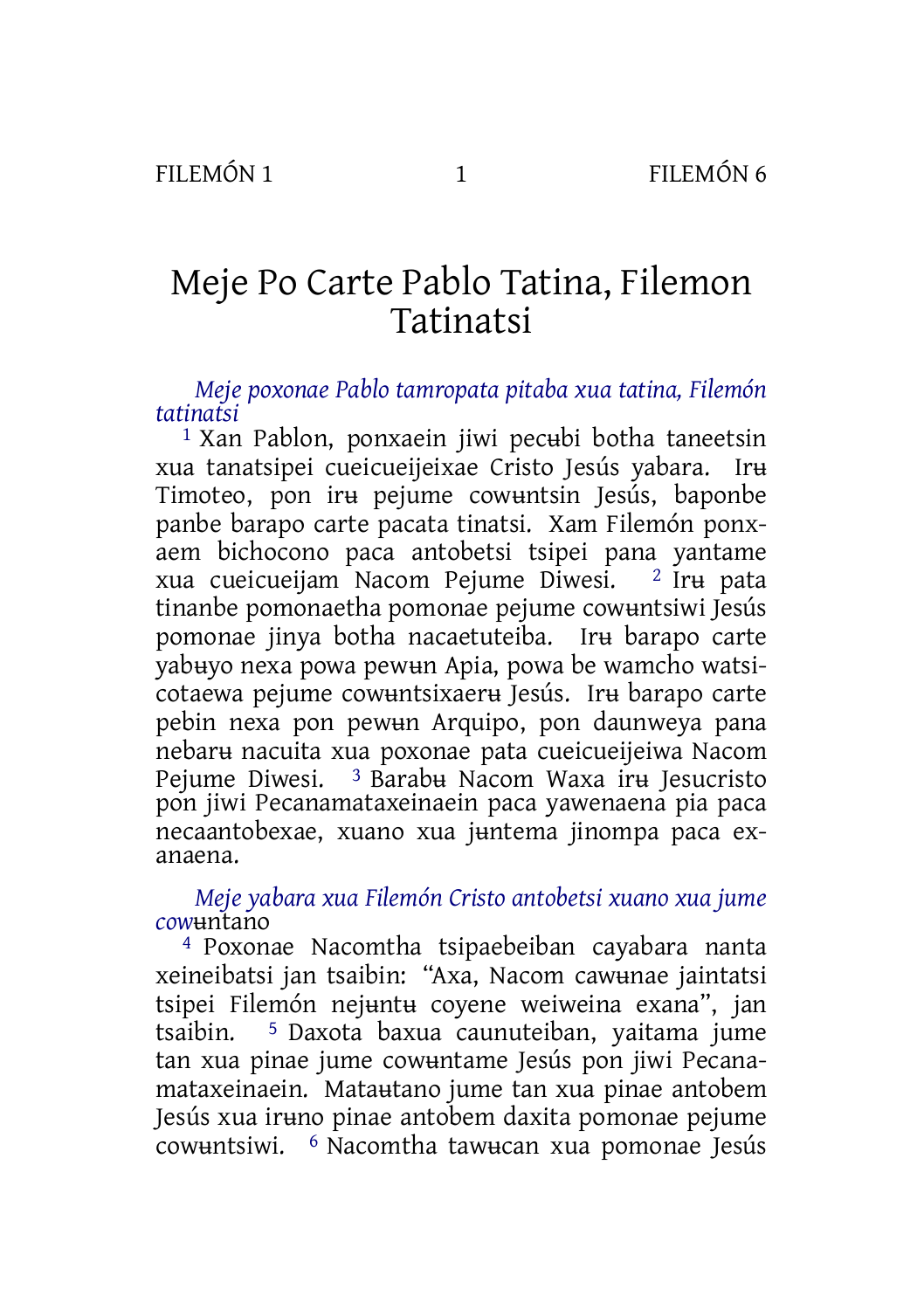# Meje Po Carte Pablo Tatina, Filemon Tatinatsi

*Meje poxonae Pablo tamropata pitaba xua tatina, Filemón tatinatsi*

1 Xan Pablon, ponxaein jiwi pecʉbi botha taneetsin xua tanatsipei cueicueijeixae Cristo Jesús yabara. Irʉ Timoteo, pon irʉ pejume cowʉntsin Jesús, baponbe panbe barapo carte pacata tinatsi. Xam Filemón ponxaem bichocono paca antobetsi tsipei pana yantame xua cueicueijam Nacom Pejume Diwesi. 2 Irʉ pata tinanbe pomonaetha pomonae pejume cowʉntsiwi Jesús pomonae jinya botha nacaetuteiba. Irʉ barapo carte yabʉyo nexa powa pewʉn Apia, powa be wamcho watsicotaewa pejume cowʉntsixaerʉ Jesús. Irʉ barapo carte pebin nexa pon pewʉn Arquipo, pon daunweya pana nebarʉ nacuita xua poxonae pata cueicueijeiwa Nacom Pejume Diwesi. 3 Barabʉ Nacom Waxa irʉ Jesucristo pon jiwi Pecanamataxeinaein paca yawenaena pia paca necaantobexae, xuano xua jʉntema jinompa paca exanaena.

## *Meje yabara xua Filemón Cristo antobetsi xuano xua jume cow*ʉntano

4 Poxonae Nacomtha tsipaebeiban cayabara nanta xeineibatsi jan tsaibin: "Axa, Nacom cawʉnae jaintatsi tsipei Filemón nejʉntʉ coyene weiweina exana", jan tsaibin. 5 Daxota baxua caunuteiban, yaitama jume tan xua pinae jume cowʉntame Jesús pon jiwi Pecanamataxeinaein. Mataʉtano jume tan xua pinae antobem Jesús xua irʉno pinae antobem daxita pomonae pejume cowʉntsiwi. 6 Nacomtha tawʉcan xua pomonae Jesús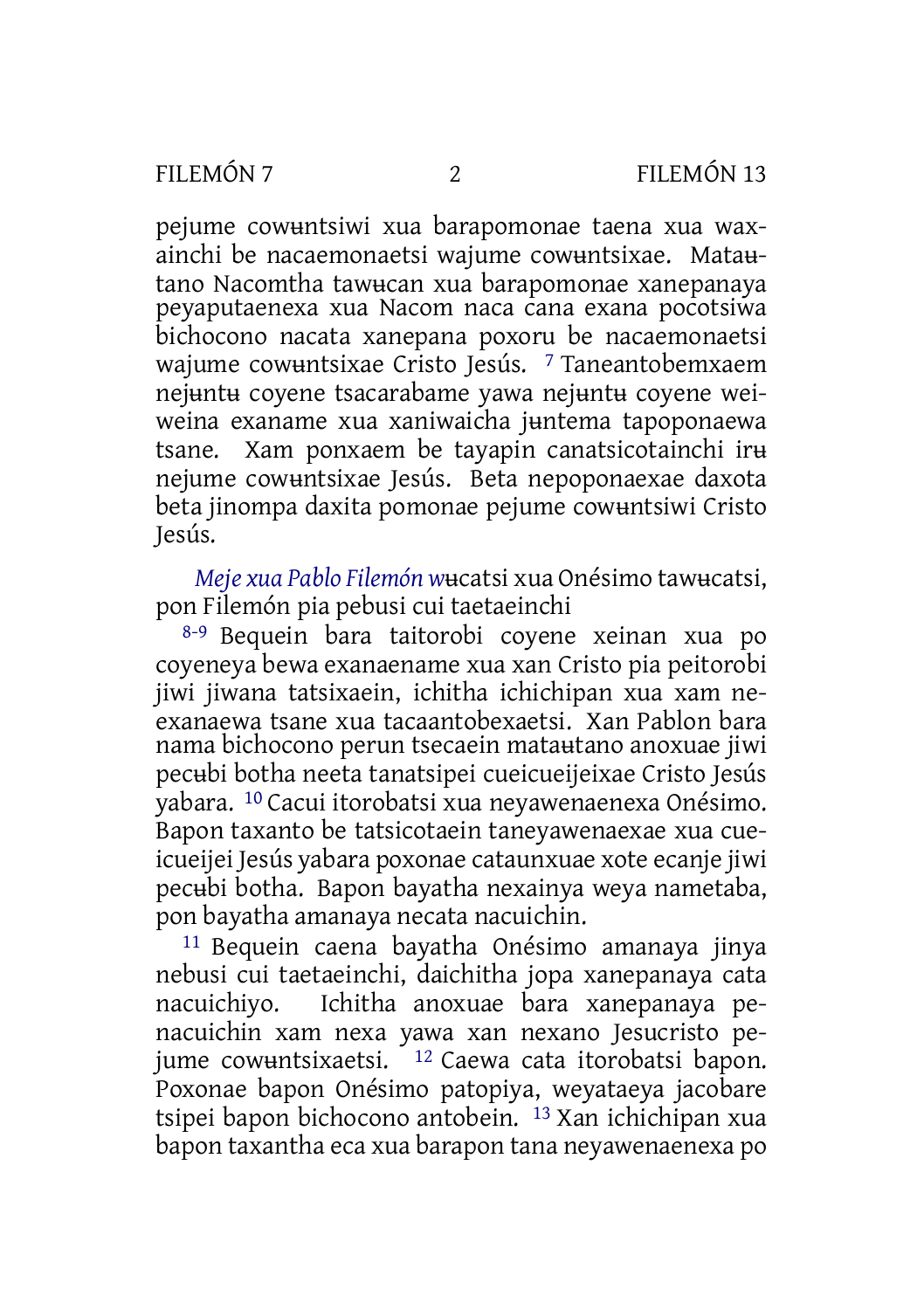pejume cowʉntsiwi xua barapomonae taena xua waxainchi be nacaemonaetsi wajume cowʉntsixae. Mataʉtano Nacomtha tawʉcan xua barapomonae xanepanaya peyaputaenexa xua Nacom naca cana exana pocotsiwa bichocono nacata xanepana poxoru be nacaemonaetsi wajume cowuntsixae Cristo Jesús. <sup>7</sup> Taneantobemxaem nejʉntʉ coyene tsacarabame yawa nejʉntʉ coyene weiweina exaname xua xaniwaicha juntema tapoponaewa tsane. Xam ponxaem be tayapin canatsicotainchi irʉ nejume cowʉntsixae Jesús. Beta nepoponaexae daxota beta jinompa daxita pomonae pejume cowʉntsiwi Cristo Jesús.

*Meje xua Pablo Filemón w*ʉcatsi xua Onésimo tawʉcatsi, pon Filemón pia pebusi cui taetaeinchi

8-9 Bequein bara taitorobi coyene xeinan xua po coyeneya bewa exanaename xua xan Cristo pia peitorobi jiwi jiwana tatsixaein, ichitha ichichipan xua xam neexanaewa tsane xua tacaantobexaetsi. Xan Pablon bara nama bichocono perun tsecaein mataʉtano anoxuae jiwi pecʉbi botha neeta tanatsipei cueicueijeixae Cristo Jesús yabara. 10 Cacui itorobatsi xua neyawenaenexa Onésimo. Bapon taxanto be tatsicotaein taneyawenaexae xua cueicueijei Jesús yabara poxonae cataunxuae xote ecanje jiwi pecʉbi botha. Bapon bayatha nexainya weya nametaba, pon bayatha amanaya necata nacuichin.

11 Bequein caena bayatha Onésimo amanaya jinya nebusi cui taetaeinchi, daichitha jopa xanepanaya cata Ichitha anoxuae bara xanepanaya penacuichin xam nexa yawa xan nexano Jesucristo pejume cowʉntsixaetsi. 12 Caewa cata itorobatsi bapon. Poxonae bapon Onésimo patopiya, weyataeya jacobare tsipei bapon bichocono antobein. 13 Xan ichichipan xua bapon taxantha eca xua barapon tana neyawenaenexa po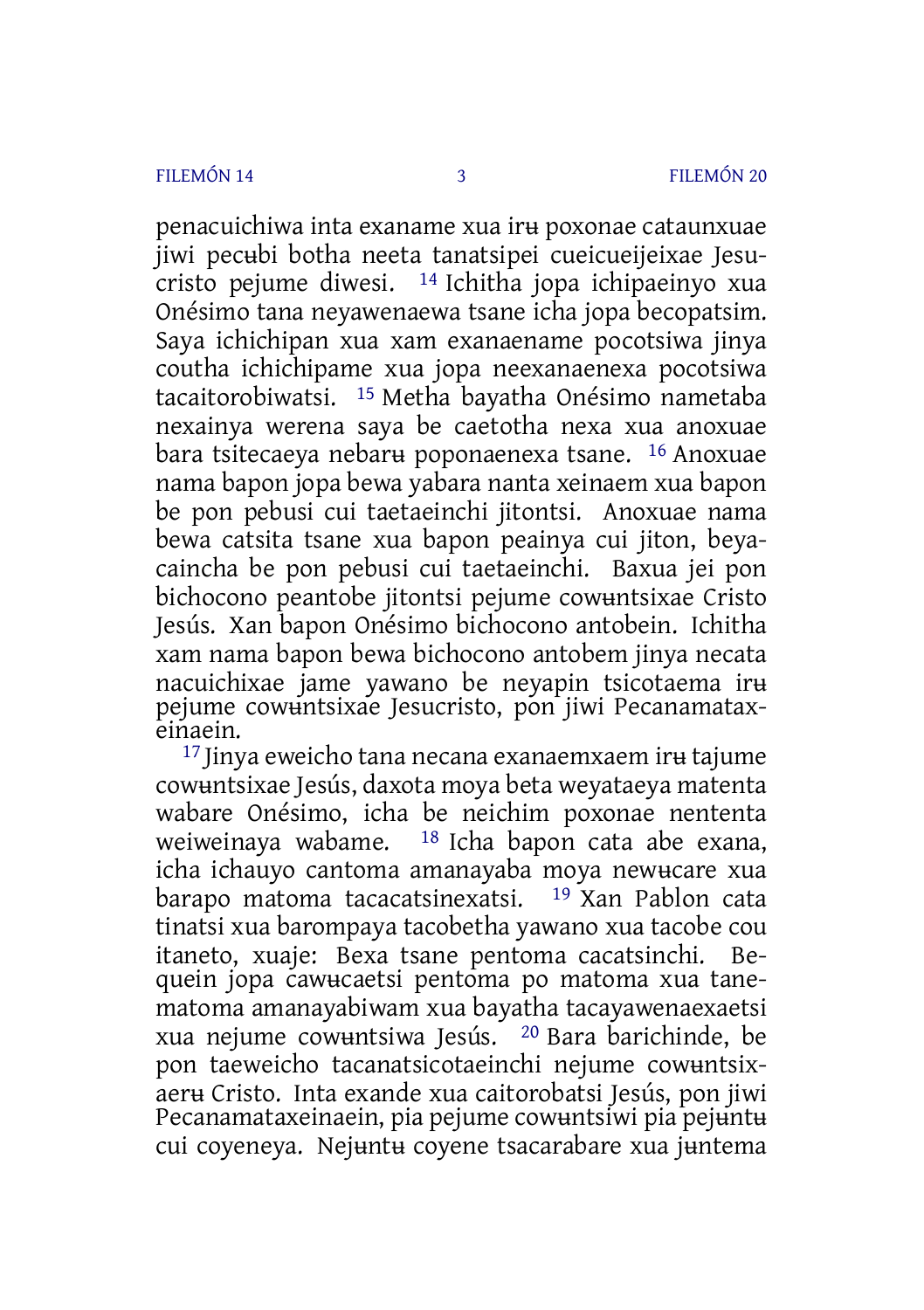penacuichiwa inta exaname xua irʉ poxonae cataunxuae jiwi pecʉbi botha neeta tanatsipei cueicueijeixae Jesucristo pejume diwesi. 14 Ichitha jopa ichipaeinyo xua Onésimo tana neyawenaewa tsane icha jopa becopatsim. Saya ichichipan xua xam exanaename pocotsiwa jinya coutha ichichipame xua jopa neexanaenexa pocotsiwa tacaitorobiwatsi. 15 Metha bayatha Onésimo nametaba nexainya werena saya be caetotha nexa xua anoxuae bara tsitecaeya nebarʉ poponaenexa tsane. 16 Anoxuae nama bapon jopa bewa yabara nanta xeinaem xua bapon be pon pebusi cui taetaeinchi jitontsi. Anoxuae nama bewa catsita tsane xua bapon peainya cui jiton, beyacaincha be pon pebusi cui taetaeinchi. Baxua jei pon bichocono peantobe jitontsi pejume cowʉntsixae Cristo Jesús. Xan bapon Onésimo bichocono antobein. Ichitha xam nama bapon bewa bichocono antobem jinya necata nacuichixae jame yawano be neyapin tsicotaema irʉ pejume cowʉntsixae Jesucristo, pon jiwi Pecanamataxeinaein.

17 Jinya eweicho tana necana exanaemxaem irʉ tajume cowʉntsixae Jesús, daxota moya beta weyataeya matenta wabare Onésimo, icha be neichim poxonae nententa weiweinaya wabame. 18 Icha bapon cata abe exana, icha ichauyo cantoma amanayaba moya newʉcare xua<br>barapo matoma tacacatsinexatsi. <sup>19</sup> Xan Pablon cata barapo matoma tacacatsinexatsi. tinatsi xua barompaya tacobetha yawano xua tacobe cou itaneto, xuaje: Bexa tsane pentoma cacatsinchi. Bequein jopa cawʉcaetsi pentoma po matoma xua tanematoma amanayabiwam xua bayatha tacayawenaexaetsi xua nejume cowʉntsiwa Jesús. 20 Bara barichinde, be pon taeweicho tacanatsicotaeinchi nejume cowʉntsixaerʉ Cristo. Inta exande xua caitorobatsi Jesús, pon jiwi Pecanamataxeinaein, pia pejume cowuntsiwi pia pejuntu cui coyeneya. Nejʉntʉ coyene tsacarabare xua jʉntema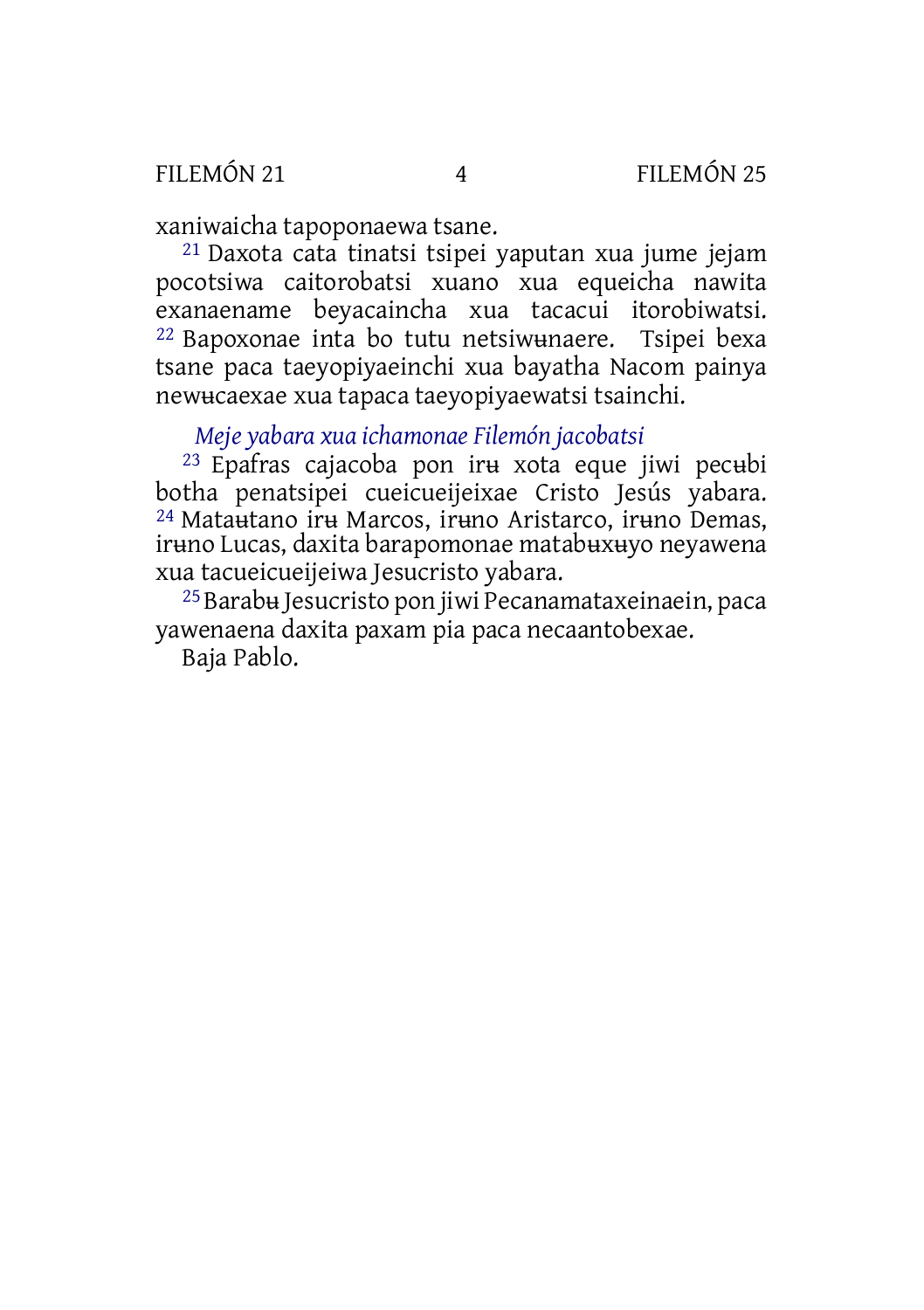## FILEMÓN 21 4 FILEMÓN 25

xaniwaicha tapoponaewa tsane.

21 Daxota cata tinatsi tsipei yaputan xua jume jejam pocotsiwa caitorobatsi xuano xua equeicha nawita exanaename beyacaincha xua tacacui itorobiwatsi. 22 Bapoxonae inta bo tutu netsiwʉnaere. Tsipei bexa tsane paca taeyopiyaeinchi xua bayatha Nacom painya newʉcaexae xua tapaca taeyopiyaewatsi tsainchi.

*Meje yabara xua ichamonae Filemón jacobatsi*

23 Epafras cajacoba pon irʉ xota eque jiwi pecʉbi botha penatsipei cueicueijeixae Cristo Jesús yabara. 24 Mataʉtano irʉ Marcos, irʉno Aristarco, irʉno Demas, irʉno Lucas, daxita barapomonae matabʉxʉyo neyawena xua tacueicueijeiwa Jesucristo yabara.

25Barabʉ Jesucristo pon jiwi Pecanamataxeinaein, paca yawenaena daxita paxam pia paca necaantobexae.

Baja Pablo.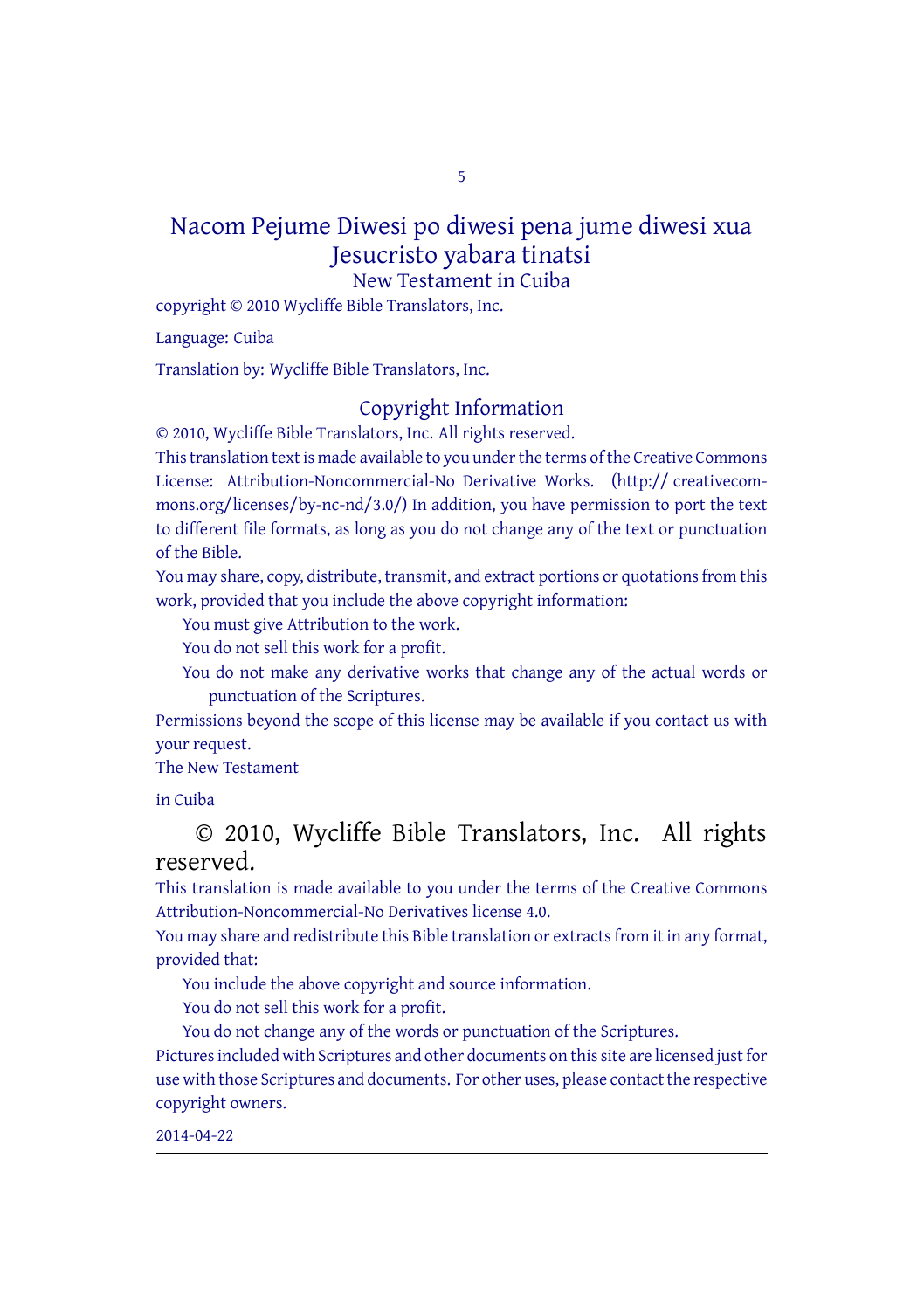5

### Nacom Pejume Diwesi po diwesi pena jume diwesi xua Jesucristo yabara tinatsi New Testament in Cuiba

copyright © 2010 Wycliffe Bible Translators, Inc.

Language: Cuiba

Translation by: Wycliffe Bible Translators, Inc.

#### Copyright Information

© 2010, Wycliffe Bible Translators, Inc. All rights reserved.

This translation text is made available to you under the terms of the Creative [Commons](http://creativecommons.org/licenses/by-nc-nd/4.0/) License: [Attribution-Noncommercial-No](http://creativecommons.org/licenses/by-nc-nd/4.0/) Derivative Works. (http:// creativecommons.org/licenses/by-nc-nd/3.0/) In addition, you have permission to port the text to different file formats, as long as you do not change any of the text or punctuation of the Bible.

You may share, copy, distribute, transmit, and extract portions or quotations from this work, provided that you include the above copyright information:

You must give Attribution to the work.

You do not sell this work for a profit.

You do not make any derivative works that change any of the actual words or punctuation of the Scriptures.

Permissions beyond the scope of this license may be available if you contact us with your request.

The New Testament

in Cuiba

© 2010, Wycliffe Bible Translators, Inc. All rights reserved.

This translation is made available to you under the terms of the Creative Commons Attribution-Noncommercial-No Derivatives license 4.0.

You may share and redistribute this Bible translation or extracts from it in any format, provided that:

You include the above copyright and source information.

You do not sell this work for a profit.

You do not change any of the words or punctuation of the Scriptures. Pictures included with Scriptures and other documents on this site are licensed just for use with those Scriptures and documents. For other uses, please contact the respective copyright owners.

2014-04-22